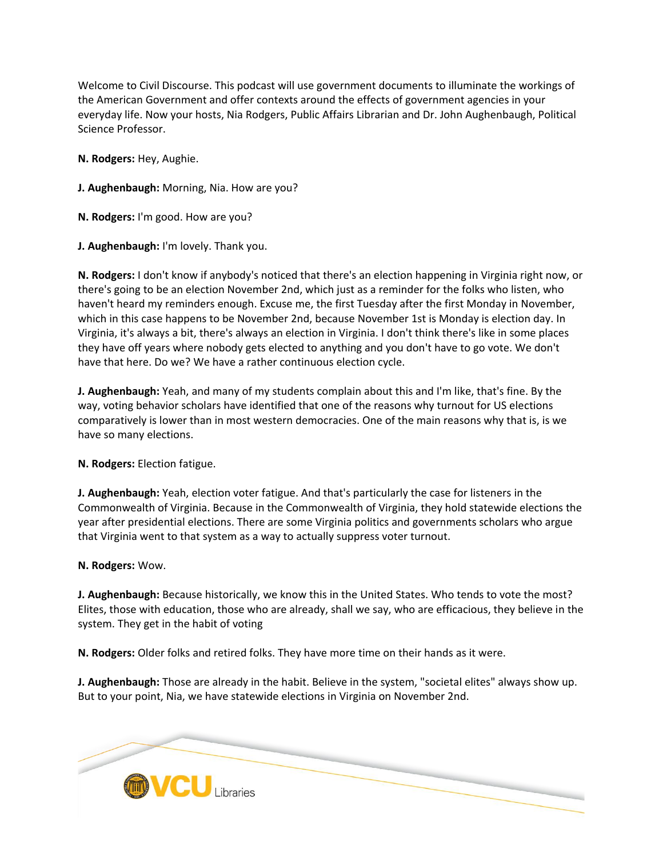Welcome to Civil Discourse. This podcast will use government documents to illuminate the workings of the American Government and offer contexts around the effects of government agencies in your everyday life. Now your hosts, Nia Rodgers, Public Affairs Librarian and Dr. John Aughenbaugh, Political Science Professor.

**N. Rodgers:** Hey, Aughie.

**J. Aughenbaugh:** Morning, Nia. How are you?

**N. Rodgers:** I'm good. How are you?

**J. Aughenbaugh:** I'm lovely. Thank you.

**N. Rodgers:** I don't know if anybody's noticed that there's an election happening in Virginia right now, or there's going to be an election November 2nd, which just as a reminder for the folks who listen, who haven't heard my reminders enough. Excuse me, the first Tuesday after the first Monday in November, which in this case happens to be November 2nd, because November 1st is Monday is election day. In Virginia, it's always a bit, there's always an election in Virginia. I don't think there's like in some places they have off years where nobody gets elected to anything and you don't have to go vote. We don't have that here. Do we? We have a rather continuous election cycle.

**J. Aughenbaugh:** Yeah, and many of my students complain about this and I'm like, that's fine. By the way, voting behavior scholars have identified that one of the reasons why turnout for US elections comparatively is lower than in most western democracies. One of the main reasons why that is, is we have so many elections.

**N. Rodgers:** Election fatigue.

**J. Aughenbaugh:** Yeah, election voter fatigue. And that's particularly the case for listeners in the Commonwealth of Virginia. Because in the Commonwealth of Virginia, they hold statewide elections the year after presidential elections. There are some Virginia politics and governments scholars who argue that Virginia went to that system as a way to actually suppress voter turnout.

**N. Rodgers:** Wow.

**J. Aughenbaugh:** Because historically, we know this in the United States. Who tends to vote the most? Elites, those with education, those who are already, shall we say, who are efficacious, they believe in the system. They get in the habit of voting

**N. Rodgers:** Older folks and retired folks. They have more time on their hands as it were.

**J. Aughenbaugh:** Those are already in the habit. Believe in the system, "societal elites" always show up. But to your point, Nia, we have statewide elections in Virginia on November 2nd.

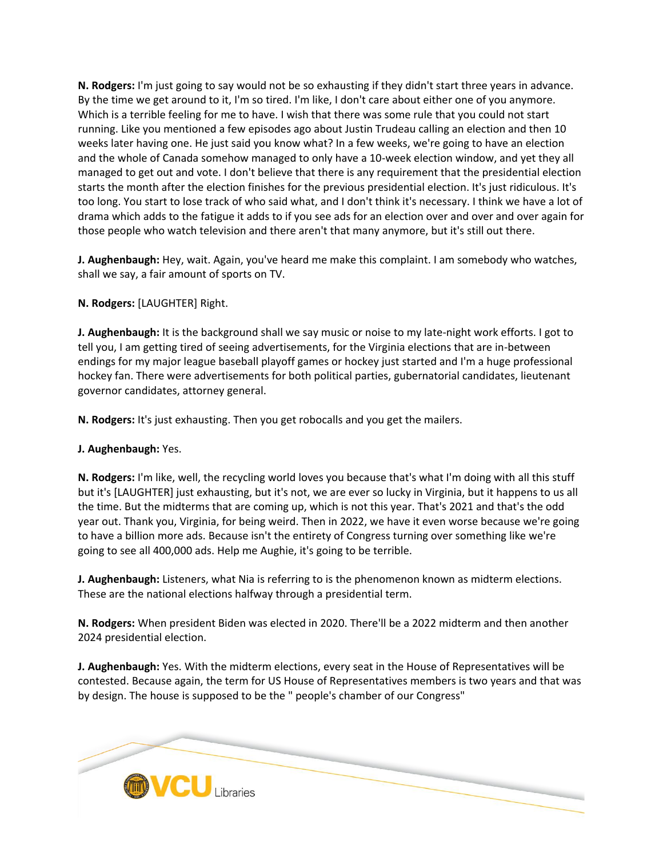**N. Rodgers:** I'm just going to say would not be so exhausting if they didn't start three years in advance. By the time we get around to it, I'm so tired. I'm like, I don't care about either one of you anymore. Which is a terrible feeling for me to have. I wish that there was some rule that you could not start running. Like you mentioned a few episodes ago about Justin Trudeau calling an election and then 10 weeks later having one. He just said you know what? In a few weeks, we're going to have an election and the whole of Canada somehow managed to only have a 10-week election window, and yet they all managed to get out and vote. I don't believe that there is any requirement that the presidential election starts the month after the election finishes for the previous presidential election. It's just ridiculous. It's too long. You start to lose track of who said what, and I don't think it's necessary. I think we have a lot of drama which adds to the fatigue it adds to if you see ads for an election over and over and over again for those people who watch television and there aren't that many anymore, but it's still out there.

**J. Aughenbaugh:** Hey, wait. Again, you've heard me make this complaint. I am somebody who watches, shall we say, a fair amount of sports on TV.

**N. Rodgers:** [LAUGHTER] Right.

**J. Aughenbaugh:** It is the background shall we say music or noise to my late-night work efforts. I got to tell you, I am getting tired of seeing advertisements, for the Virginia elections that are in-between endings for my major league baseball playoff games or hockey just started and I'm a huge professional hockey fan. There were advertisements for both political parties, gubernatorial candidates, lieutenant governor candidates, attorney general.

**N. Rodgers:** It's just exhausting. Then you get robocalls and you get the mailers.

# **J. Aughenbaugh:** Yes.

**N. Rodgers:** I'm like, well, the recycling world loves you because that's what I'm doing with all this stuff but it's [LAUGHTER] just exhausting, but it's not, we are ever so lucky in Virginia, but it happens to us all the time. But the midterms that are coming up, which is not this year. That's 2021 and that's the odd year out. Thank you, Virginia, for being weird. Then in 2022, we have it even worse because we're going to have a billion more ads. Because isn't the entirety of Congress turning over something like we're going to see all 400,000 ads. Help me Aughie, it's going to be terrible.

**J. Aughenbaugh:** Listeners, what Nia is referring to is the phenomenon known as midterm elections. These are the national elections halfway through a presidential term.

**N. Rodgers:** When president Biden was elected in 2020. There'll be a 2022 midterm and then another 2024 presidential election.

**J. Aughenbaugh:** Yes. With the midterm elections, every seat in the House of Representatives will be contested. Because again, the term for US House of Representatives members is two years and that was by design. The house is supposed to be the " people's chamber of our Congress"

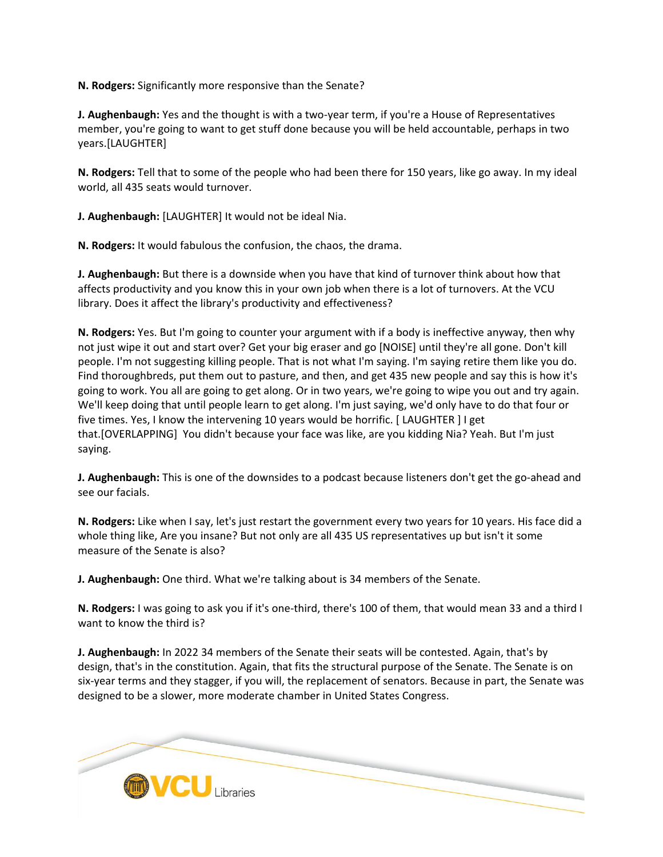**N. Rodgers:** Significantly more responsive than the Senate?

**J. Aughenbaugh:** Yes and the thought is with a two-year term, if you're a House of Representatives member, you're going to want to get stuff done because you will be held accountable, perhaps in two years.[LAUGHTER]

**N. Rodgers:** Tell that to some of the people who had been there for 150 years, like go away. In my ideal world, all 435 seats would turnover.

**J. Aughenbaugh:** [LAUGHTER] It would not be ideal Nia.

**N. Rodgers:** It would fabulous the confusion, the chaos, the drama.

**J. Aughenbaugh:** But there is a downside when you have that kind of turnover think about how that affects productivity and you know this in your own job when there is a lot of turnovers. At the VCU library. Does it affect the library's productivity and effectiveness?

**N. Rodgers:** Yes. But I'm going to counter your argument with if a body is ineffective anyway, then why not just wipe it out and start over? Get your big eraser and go [NOISE] until they're all gone. Don't kill people. I'm not suggesting killing people. That is not what I'm saying. I'm saying retire them like you do. Find thoroughbreds, put them out to pasture, and then, and get 435 new people and say this is how it's going to work. You all are going to get along. Or in two years, we're going to wipe you out and try again. We'll keep doing that until people learn to get along. I'm just saying, we'd only have to do that four or five times. Yes, I know the intervening 10 years would be horrific. [ LAUGHTER ] I get that.[OVERLAPPING] You didn't because your face was like, are you kidding Nia? Yeah. But I'm just saying.

**J. Aughenbaugh:** This is one of the downsides to a podcast because listeners don't get the go-ahead and see our facials.

**N. Rodgers:** Like when I say, let's just restart the government every two years for 10 years. His face did a whole thing like, Are you insane? But not only are all 435 US representatives up but isn't it some measure of the Senate is also?

**J. Aughenbaugh:** One third. What we're talking about is 34 members of the Senate.

**N. Rodgers:** I was going to ask you if it's one-third, there's 100 of them, that would mean 33 and a third I want to know the third is?

**J. Aughenbaugh:** In 2022 34 members of the Senate their seats will be contested. Again, that's by design, that's in the constitution. Again, that fits the structural purpose of the Senate. The Senate is on six-year terms and they stagger, if you will, the replacement of senators. Because in part, the Senate was designed to be a slower, more moderate chamber in United States Congress.

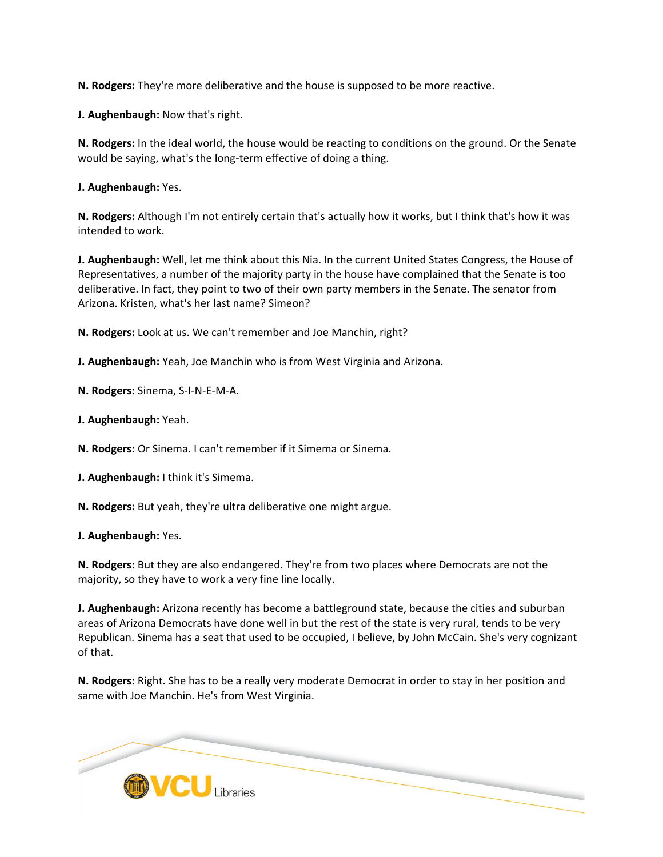**N. Rodgers:** They're more deliberative and the house is supposed to be more reactive.

**J. Aughenbaugh:** Now that's right.

**N. Rodgers:** In the ideal world, the house would be reacting to conditions on the ground. Or the Senate would be saying, what's the long-term effective of doing a thing.

**J. Aughenbaugh:** Yes.

**N. Rodgers:** Although I'm not entirely certain that's actually how it works, but I think that's how it was intended to work.

**J. Aughenbaugh:** Well, let me think about this Nia. In the current United States Congress, the House of Representatives, a number of the majority party in the house have complained that the Senate is too deliberative. In fact, they point to two of their own party members in the Senate. The senator from Arizona. Kristen, what's her last name? Simeon?

**N. Rodgers:** Look at us. We can't remember and Joe Manchin, right?

**J. Aughenbaugh:** Yeah, Joe Manchin who is from West Virginia and Arizona.

**N. Rodgers:** Sinema, S-I-N-E-M-A.

**J. Aughenbaugh:** Yeah.

**N. Rodgers:** Or Sinema. I can't remember if it Simema or Sinema.

**J. Aughenbaugh:** I think it's Simema.

**N. Rodgers:** But yeah, they're ultra deliberative one might argue.

**J. Aughenbaugh:** Yes.

**N. Rodgers:** But they are also endangered. They're from two places where Democrats are not the majority, so they have to work a very fine line locally.

**J. Aughenbaugh:** Arizona recently has become a battleground state, because the cities and suburban areas of Arizona Democrats have done well in but the rest of the state is very rural, tends to be very Republican. Sinema has a seat that used to be occupied, I believe, by John McCain. She's very cognizant of that.

**N. Rodgers:** Right. She has to be a really very moderate Democrat in order to stay in her position and same with Joe Manchin. He's from West Virginia.

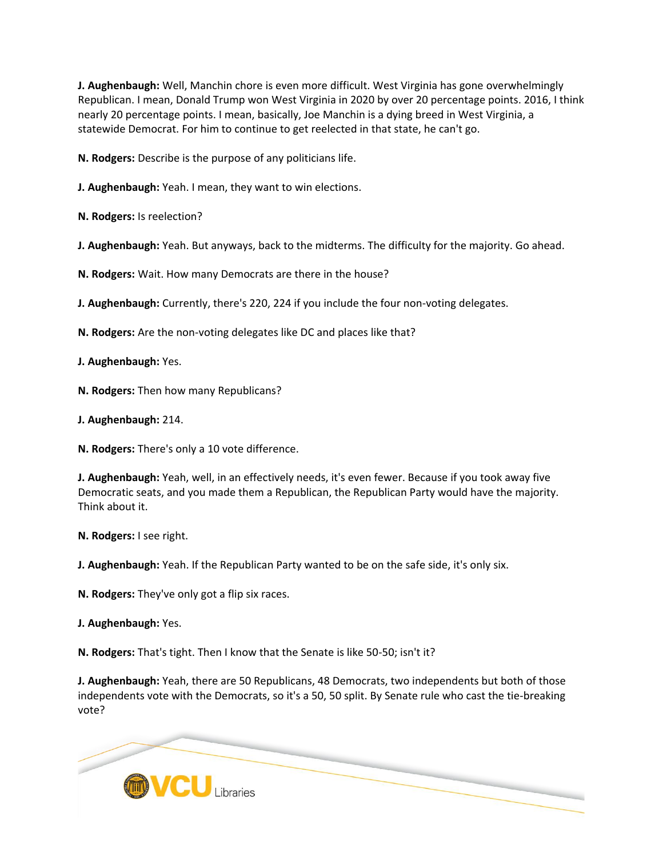**J. Aughenbaugh:** Well, Manchin chore is even more difficult. West Virginia has gone overwhelmingly Republican. I mean, Donald Trump won West Virginia in 2020 by over 20 percentage points. 2016, I think nearly 20 percentage points. I mean, basically, Joe Manchin is a dying breed in West Virginia, a statewide Democrat. For him to continue to get reelected in that state, he can't go.

**N. Rodgers:** Describe is the purpose of any politicians life.

**J. Aughenbaugh:** Yeah. I mean, they want to win elections.

**N. Rodgers:** Is reelection?

**J. Aughenbaugh:** Yeah. But anyways, back to the midterms. The difficulty for the majority. Go ahead.

**N. Rodgers:** Wait. How many Democrats are there in the house?

**J. Aughenbaugh:** Currently, there's 220, 224 if you include the four non-voting delegates.

**N. Rodgers:** Are the non-voting delegates like DC and places like that?

**J. Aughenbaugh:** Yes.

**N. Rodgers:** Then how many Republicans?

**J. Aughenbaugh:** 214.

**N. Rodgers:** There's only a 10 vote difference.

**J. Aughenbaugh:** Yeah, well, in an effectively needs, it's even fewer. Because if you took away five Democratic seats, and you made them a Republican, the Republican Party would have the majority. Think about it.

**N. Rodgers:** I see right.

**J. Aughenbaugh:** Yeah. If the Republican Party wanted to be on the safe side, it's only six.

**N. Rodgers:** They've only got a flip six races.

**J. Aughenbaugh:** Yes.

**N. Rodgers:** That's tight. Then I know that the Senate is like 50-50; isn't it?

**J. Aughenbaugh:** Yeah, there are 50 Republicans, 48 Democrats, two independents but both of those independents vote with the Democrats, so it's a 50, 50 split. By Senate rule who cast the tie-breaking vote?

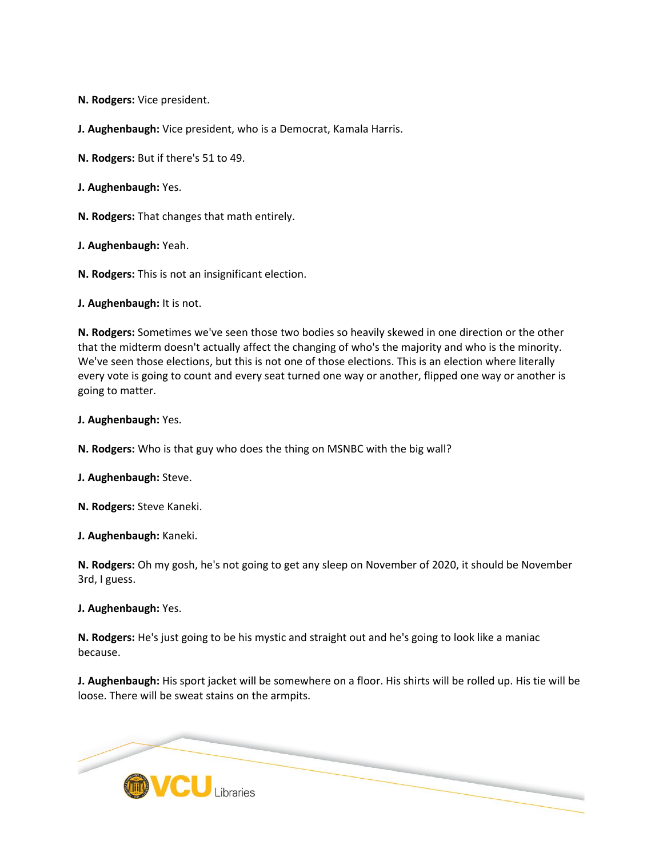**N. Rodgers:** Vice president.

**J. Aughenbaugh:** Vice president, who is a Democrat, Kamala Harris.

**N. Rodgers:** But if there's 51 to 49.

**J. Aughenbaugh:** Yes.

**N. Rodgers:** That changes that math entirely.

**J. Aughenbaugh:** Yeah.

**N. Rodgers:** This is not an insignificant election.

**J. Aughenbaugh:** It is not.

**N. Rodgers:** Sometimes we've seen those two bodies so heavily skewed in one direction or the other that the midterm doesn't actually affect the changing of who's the majority and who is the minority. We've seen those elections, but this is not one of those elections. This is an election where literally every vote is going to count and every seat turned one way or another, flipped one way or another is going to matter.

**J. Aughenbaugh:** Yes.

**N. Rodgers:** Who is that guy who does the thing on MSNBC with the big wall?

**J. Aughenbaugh:** Steve.

**N. Rodgers:** Steve Kaneki.

**J. Aughenbaugh:** Kaneki.

**N. Rodgers:** Oh my gosh, he's not going to get any sleep on November of 2020, it should be November 3rd, I guess.

**J. Aughenbaugh:** Yes.

**N. Rodgers:** He's just going to be his mystic and straight out and he's going to look like a maniac because.

**J. Aughenbaugh:** His sport jacket will be somewhere on a floor. His shirts will be rolled up. His tie will be loose. There will be sweat stains on the armpits.

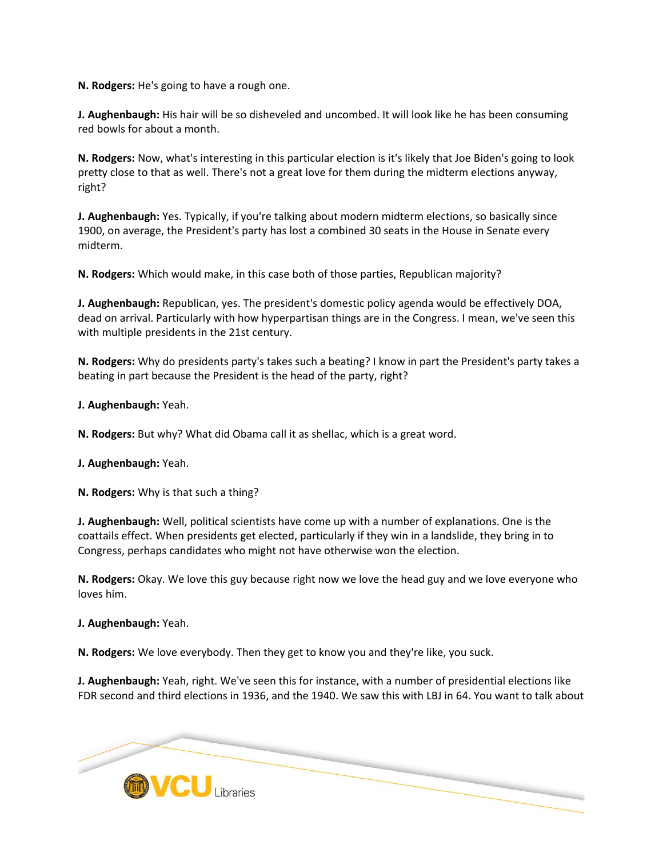**N. Rodgers:** He's going to have a rough one.

**J. Aughenbaugh:** His hair will be so disheveled and uncombed. It will look like he has been consuming red bowls for about a month.

**N. Rodgers:** Now, what's interesting in this particular election is it's likely that Joe Biden's going to look pretty close to that as well. There's not a great love for them during the midterm elections anyway, right?

**J. Aughenbaugh:** Yes. Typically, if you're talking about modern midterm elections, so basically since 1900, on average, the President's party has lost a combined 30 seats in the House in Senate every midterm.

**N. Rodgers:** Which would make, in this case both of those parties, Republican majority?

**J. Aughenbaugh:** Republican, yes. The president's domestic policy agenda would be effectively DOA, dead on arrival. Particularly with how hyperpartisan things are in the Congress. I mean, we've seen this with multiple presidents in the 21st century.

**N. Rodgers:** Why do presidents party's takes such a beating? I know in part the President's party takes a beating in part because the President is the head of the party, right?

**J. Aughenbaugh:** Yeah.

**N. Rodgers:** But why? What did Obama call it as shellac, which is a great word.

**J. Aughenbaugh:** Yeah.

**N. Rodgers:** Why is that such a thing?

**J. Aughenbaugh:** Well, political scientists have come up with a number of explanations. One is the coattails effect. When presidents get elected, particularly if they win in a landslide, they bring in to Congress, perhaps candidates who might not have otherwise won the election.

**N. Rodgers:** Okay. We love this guy because right now we love the head guy and we love everyone who loves him.

**J. Aughenbaugh:** Yeah.

**N. Rodgers:** We love everybody. Then they get to know you and they're like, you suck.

**J. Aughenbaugh:** Yeah, right. We've seen this for instance, with a number of presidential elections like FDR second and third elections in 1936, and the 1940. We saw this with LBJ in 64. You want to talk about

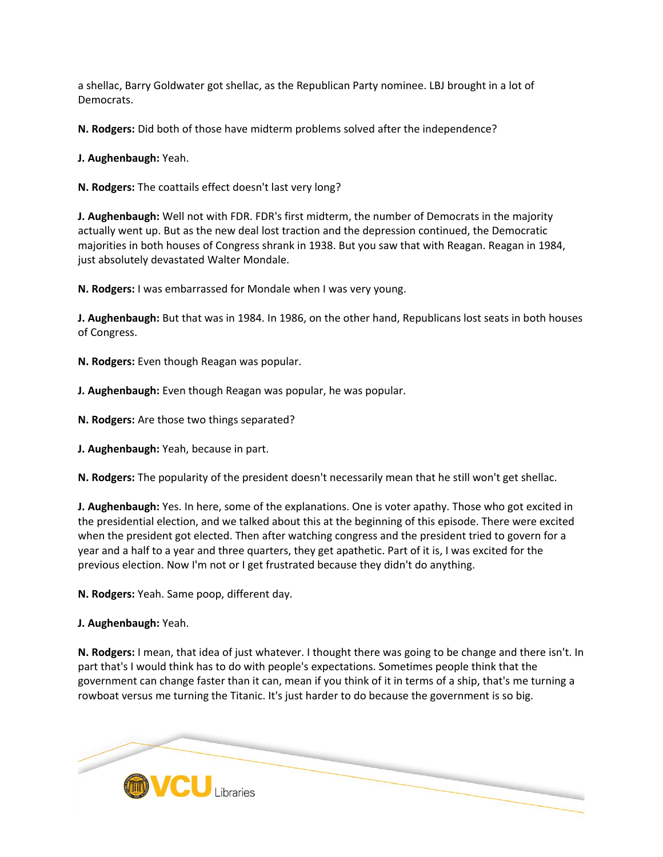a shellac, Barry Goldwater got shellac, as the Republican Party nominee. LBJ brought in a lot of Democrats.

**N. Rodgers:** Did both of those have midterm problems solved after the independence?

**J. Aughenbaugh:** Yeah.

**N. Rodgers:** The coattails effect doesn't last very long?

**J. Aughenbaugh:** Well not with FDR. FDR's first midterm, the number of Democrats in the majority actually went up. But as the new deal lost traction and the depression continued, the Democratic majorities in both houses of Congress shrank in 1938. But you saw that with Reagan. Reagan in 1984, just absolutely devastated Walter Mondale.

**N. Rodgers:** I was embarrassed for Mondale when I was very young.

**J. Aughenbaugh:** But that was in 1984. In 1986, on the other hand, Republicans lost seats in both houses of Congress.

**N. Rodgers:** Even though Reagan was popular.

**J. Aughenbaugh:** Even though Reagan was popular, he was popular.

**N. Rodgers:** Are those two things separated?

**J. Aughenbaugh:** Yeah, because in part.

**N. Rodgers:** The popularity of the president doesn't necessarily mean that he still won't get shellac.

**J. Aughenbaugh:** Yes. In here, some of the explanations. One is voter apathy. Those who got excited in the presidential election, and we talked about this at the beginning of this episode. There were excited when the president got elected. Then after watching congress and the president tried to govern for a year and a half to a year and three quarters, they get apathetic. Part of it is, I was excited for the previous election. Now I'm not or I get frustrated because they didn't do anything.

**N. Rodgers:** Yeah. Same poop, different day.

**J. Aughenbaugh:** Yeah.

**N. Rodgers:** I mean, that idea of just whatever. I thought there was going to be change and there isn't. In part that's I would think has to do with people's expectations. Sometimes people think that the government can change faster than it can, mean if you think of it in terms of a ship, that's me turning a rowboat versus me turning the Titanic. It's just harder to do because the government is so big.

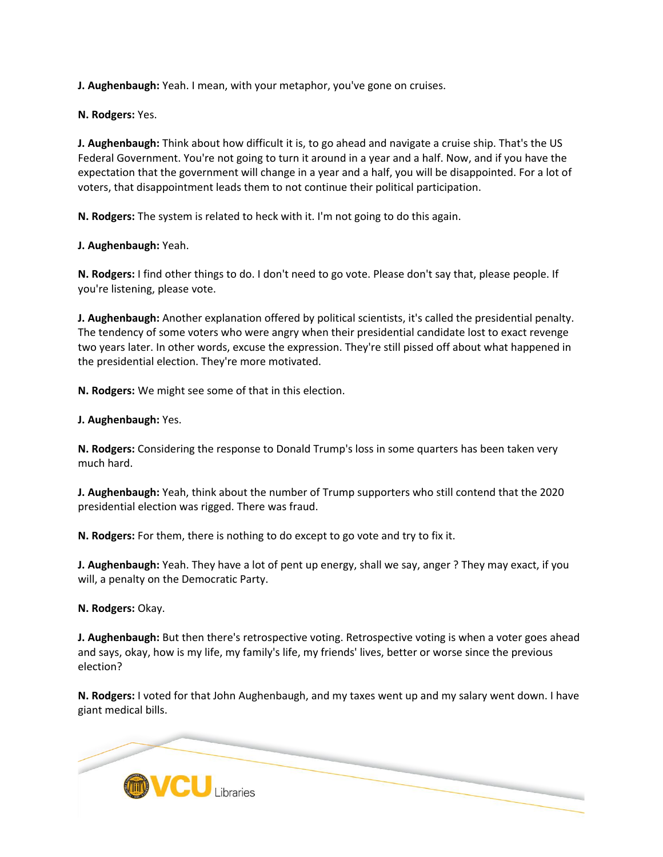**J. Aughenbaugh:** Yeah. I mean, with your metaphor, you've gone on cruises.

**N. Rodgers:** Yes.

**J. Aughenbaugh:** Think about how difficult it is, to go ahead and navigate a cruise ship. That's the US Federal Government. You're not going to turn it around in a year and a half. Now, and if you have the expectation that the government will change in a year and a half, you will be disappointed. For a lot of voters, that disappointment leads them to not continue their political participation.

**N. Rodgers:** The system is related to heck with it. I'm not going to do this again.

**J. Aughenbaugh:** Yeah.

**N. Rodgers:** I find other things to do. I don't need to go vote. Please don't say that, please people. If you're listening, please vote.

**J. Aughenbaugh:** Another explanation offered by political scientists, it's called the presidential penalty. The tendency of some voters who were angry when their presidential candidate lost to exact revenge two years later. In other words, excuse the expression. They're still pissed off about what happened in the presidential election. They're more motivated.

**N. Rodgers:** We might see some of that in this election.

**J. Aughenbaugh:** Yes.

**N. Rodgers:** Considering the response to Donald Trump's loss in some quarters has been taken very much hard.

**J. Aughenbaugh:** Yeah, think about the number of Trump supporters who still contend that the 2020 presidential election was rigged. There was fraud.

**N. Rodgers:** For them, there is nothing to do except to go vote and try to fix it.

**J. Aughenbaugh:** Yeah. They have a lot of pent up energy, shall we say, anger ? They may exact, if you will, a penalty on the Democratic Party.

**N. Rodgers:** Okay.

**J. Aughenbaugh:** But then there's retrospective voting. Retrospective voting is when a voter goes ahead and says, okay, how is my life, my family's life, my friends' lives, better or worse since the previous election?

**N. Rodgers:** I voted for that John Aughenbaugh, and my taxes went up and my salary went down. I have giant medical bills.

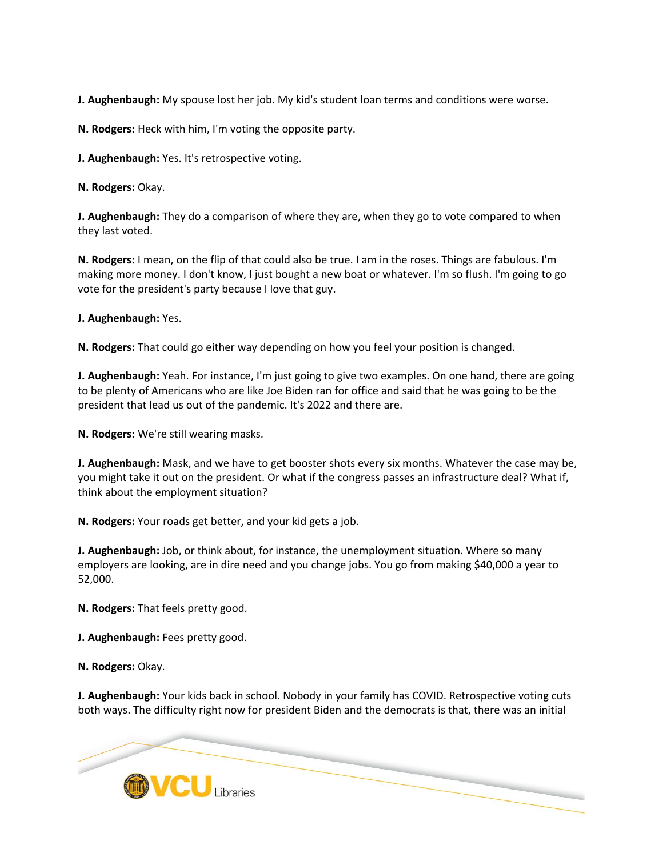**J. Aughenbaugh:** My spouse lost her job. My kid's student loan terms and conditions were worse.

**N. Rodgers:** Heck with him, I'm voting the opposite party.

**J. Aughenbaugh:** Yes. It's retrospective voting.

**N. Rodgers:** Okay.

**J. Aughenbaugh:** They do a comparison of where they are, when they go to vote compared to when they last voted.

**N. Rodgers:** I mean, on the flip of that could also be true. I am in the roses. Things are fabulous. I'm making more money. I don't know, I just bought a new boat or whatever. I'm so flush. I'm going to go vote for the president's party because I love that guy.

**J. Aughenbaugh:** Yes.

**N. Rodgers:** That could go either way depending on how you feel your position is changed.

**J. Aughenbaugh:** Yeah. For instance, I'm just going to give two examples. On one hand, there are going to be plenty of Americans who are like Joe Biden ran for office and said that he was going to be the president that lead us out of the pandemic. It's 2022 and there are.

**N. Rodgers:** We're still wearing masks.

**J. Aughenbaugh:** Mask, and we have to get booster shots every six months. Whatever the case may be, you might take it out on the president. Or what if the congress passes an infrastructure deal? What if, think about the employment situation?

**N. Rodgers:** Your roads get better, and your kid gets a job.

**J. Aughenbaugh:** Job, or think about, for instance, the unemployment situation. Where so many employers are looking, are in dire need and you change jobs. You go from making \$40,000 a year to 52,000.

**N. Rodgers:** That feels pretty good.

**J. Aughenbaugh:** Fees pretty good.

**N. Rodgers:** Okay.

**J. Aughenbaugh:** Your kids back in school. Nobody in your family has COVID. Retrospective voting cuts both ways. The difficulty right now for president Biden and the democrats is that, there was an initial

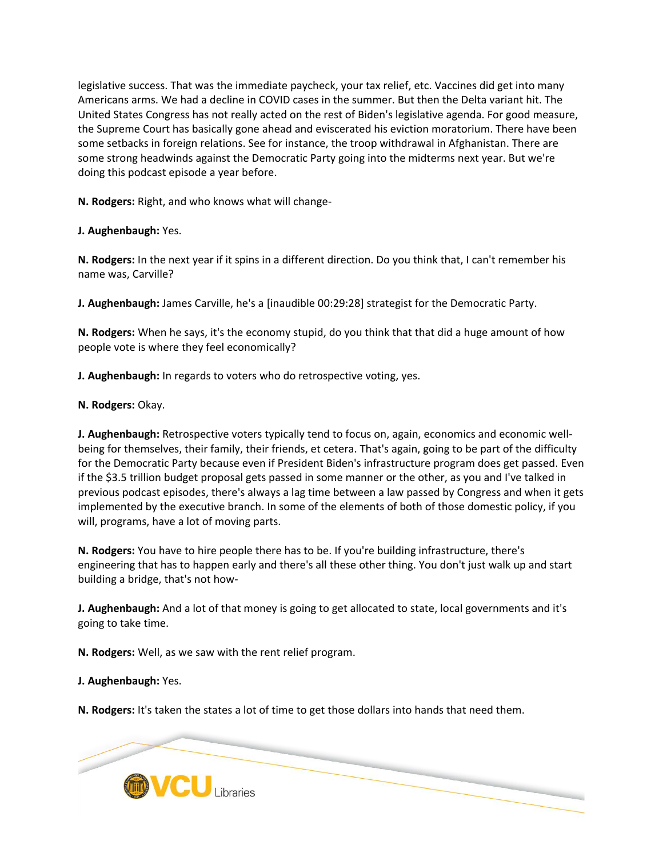legislative success. That was the immediate paycheck, your tax relief, etc. Vaccines did get into many Americans arms. We had a decline in COVID cases in the summer. But then the Delta variant hit. The United States Congress has not really acted on the rest of Biden's legislative agenda. For good measure, the Supreme Court has basically gone ahead and eviscerated his eviction moratorium. There have been some setbacks in foreign relations. See for instance, the troop withdrawal in Afghanistan. There are some strong headwinds against the Democratic Party going into the midterms next year. But we're doing this podcast episode a year before.

**N. Rodgers:** Right, and who knows what will change-

**J. Aughenbaugh:** Yes.

**N. Rodgers:** In the next year if it spins in a different direction. Do you think that, I can't remember his name was, Carville?

**J. Aughenbaugh:** James Carville, he's a [inaudible 00:29:28] strategist for the Democratic Party.

**N. Rodgers:** When he says, it's the economy stupid, do you think that that did a huge amount of how people vote is where they feel economically?

**J. Aughenbaugh:** In regards to voters who do retrospective voting, yes.

**N. Rodgers:** Okay.

**J. Aughenbaugh:** Retrospective voters typically tend to focus on, again, economics and economic wellbeing for themselves, their family, their friends, et cetera. That's again, going to be part of the difficulty for the Democratic Party because even if President Biden's infrastructure program does get passed. Even if the \$3.5 trillion budget proposal gets passed in some manner or the other, as you and I've talked in previous podcast episodes, there's always a lag time between a law passed by Congress and when it gets implemented by the executive branch. In some of the elements of both of those domestic policy, if you will, programs, have a lot of moving parts.

**N. Rodgers:** You have to hire people there has to be. If you're building infrastructure, there's engineering that has to happen early and there's all these other thing. You don't just walk up and start building a bridge, that's not how-

**J. Aughenbaugh:** And a lot of that money is going to get allocated to state, local governments and it's going to take time.

**N. Rodgers:** Well, as we saw with the rent relief program.

**J. Aughenbaugh:** Yes.

**N. Rodgers:** It's taken the states a lot of time to get those dollars into hands that need them.

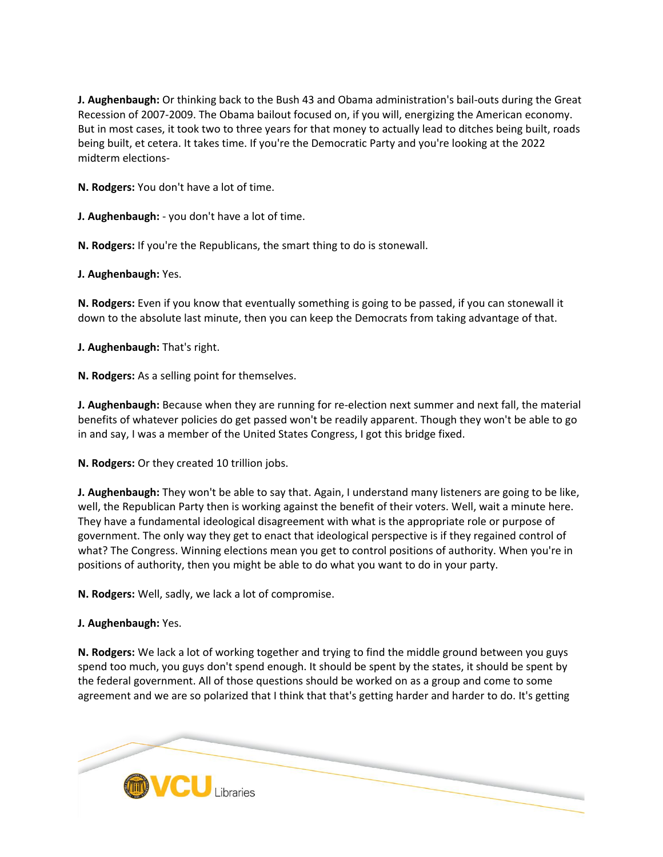**J. Aughenbaugh:** Or thinking back to the Bush 43 and Obama administration's bail-outs during the Great Recession of 2007-2009. The Obama bailout focused on, if you will, energizing the American economy. But in most cases, it took two to three years for that money to actually lead to ditches being built, roads being built, et cetera. It takes time. If you're the Democratic Party and you're looking at the 2022 midterm elections-

**N. Rodgers:** You don't have a lot of time.

**J. Aughenbaugh:** - you don't have a lot of time.

**N. Rodgers:** If you're the Republicans, the smart thing to do is stonewall.

**J. Aughenbaugh:** Yes.

**N. Rodgers:** Even if you know that eventually something is going to be passed, if you can stonewall it down to the absolute last minute, then you can keep the Democrats from taking advantage of that.

**J. Aughenbaugh:** That's right.

**N. Rodgers:** As a selling point for themselves.

**J. Aughenbaugh:** Because when they are running for re-election next summer and next fall, the material benefits of whatever policies do get passed won't be readily apparent. Though they won't be able to go in and say, I was a member of the United States Congress, I got this bridge fixed.

**N. Rodgers:** Or they created 10 trillion jobs.

**J. Aughenbaugh:** They won't be able to say that. Again, I understand many listeners are going to be like, well, the Republican Party then is working against the benefit of their voters. Well, wait a minute here. They have a fundamental ideological disagreement with what is the appropriate role or purpose of government. The only way they get to enact that ideological perspective is if they regained control of what? The Congress. Winning elections mean you get to control positions of authority. When you're in positions of authority, then you might be able to do what you want to do in your party.

**N. Rodgers:** Well, sadly, we lack a lot of compromise.

### **J. Aughenbaugh:** Yes.

**N. Rodgers:** We lack a lot of working together and trying to find the middle ground between you guys spend too much, you guys don't spend enough. It should be spent by the states, it should be spent by the federal government. All of those questions should be worked on as a group and come to some agreement and we are so polarized that I think that that's getting harder and harder to do. It's getting

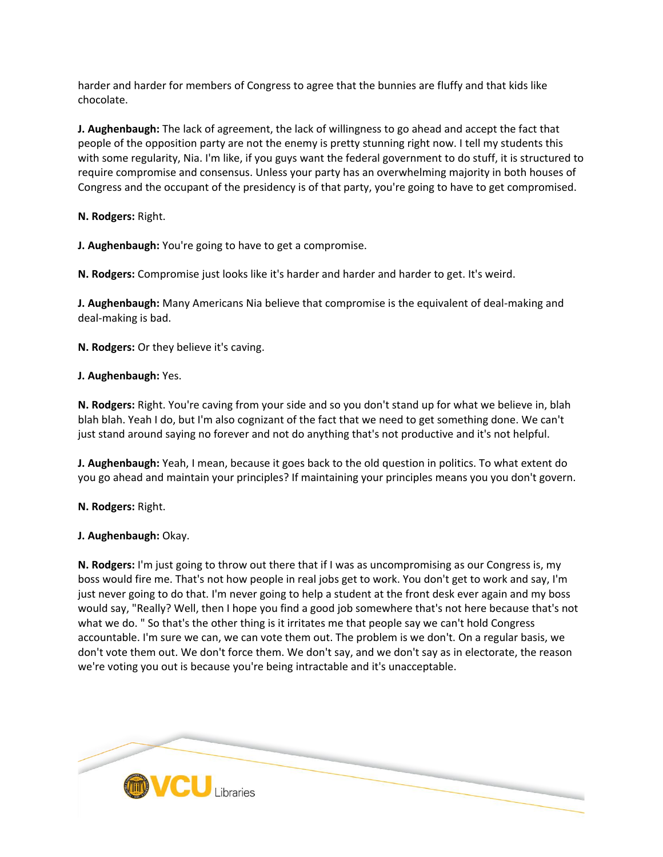harder and harder for members of Congress to agree that the bunnies are fluffy and that kids like chocolate.

**J. Aughenbaugh:** The lack of agreement, the lack of willingness to go ahead and accept the fact that people of the opposition party are not the enemy is pretty stunning right now. I tell my students this with some regularity, Nia. I'm like, if you guys want the federal government to do stuff, it is structured to require compromise and consensus. Unless your party has an overwhelming majority in both houses of Congress and the occupant of the presidency is of that party, you're going to have to get compromised.

**N. Rodgers:** Right.

**J. Aughenbaugh:** You're going to have to get a compromise.

**N. Rodgers:** Compromise just looks like it's harder and harder and harder to get. It's weird.

**J. Aughenbaugh:** Many Americans Nia believe that compromise is the equivalent of deal-making and deal-making is bad.

**N. Rodgers:** Or they believe it's caving.

### **J. Aughenbaugh:** Yes.

**N. Rodgers:** Right. You're caving from your side and so you don't stand up for what we believe in, blah blah blah. Yeah I do, but I'm also cognizant of the fact that we need to get something done. We can't just stand around saying no forever and not do anything that's not productive and it's not helpful.

**J. Aughenbaugh:** Yeah, I mean, because it goes back to the old question in politics. To what extent do you go ahead and maintain your principles? If maintaining your principles means you you don't govern.

**N. Rodgers:** Right.

**J. Aughenbaugh:** Okay.

**N. Rodgers:** I'm just going to throw out there that if I was as uncompromising as our Congress is, my boss would fire me. That's not how people in real jobs get to work. You don't get to work and say, I'm just never going to do that. I'm never going to help a student at the front desk ever again and my boss would say, "Really? Well, then I hope you find a good job somewhere that's not here because that's not what we do. " So that's the other thing is it irritates me that people say we can't hold Congress accountable. I'm sure we can, we can vote them out. The problem is we don't. On a regular basis, we don't vote them out. We don't force them. We don't say, and we don't say as in electorate, the reason we're voting you out is because you're being intractable and it's unacceptable.

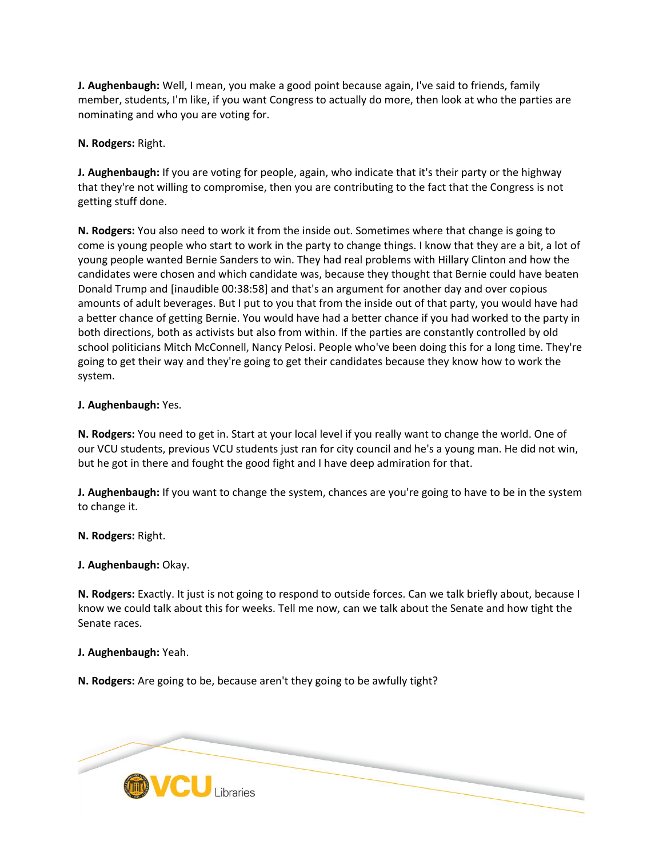**J. Aughenbaugh:** Well, I mean, you make a good point because again, I've said to friends, family member, students, I'm like, if you want Congress to actually do more, then look at who the parties are nominating and who you are voting for.

**N. Rodgers:** Right.

**J. Aughenbaugh:** If you are voting for people, again, who indicate that it's their party or the highway that they're not willing to compromise, then you are contributing to the fact that the Congress is not getting stuff done.

**N. Rodgers:** You also need to work it from the inside out. Sometimes where that change is going to come is young people who start to work in the party to change things. I know that they are a bit, a lot of young people wanted Bernie Sanders to win. They had real problems with Hillary Clinton and how the candidates were chosen and which candidate was, because they thought that Bernie could have beaten Donald Trump and [inaudible 00:38:58] and that's an argument for another day and over copious amounts of adult beverages. But I put to you that from the inside out of that party, you would have had a better chance of getting Bernie. You would have had a better chance if you had worked to the party in both directions, both as activists but also from within. If the parties are constantly controlled by old school politicians Mitch McConnell, Nancy Pelosi. People who've been doing this for a long time. They're going to get their way and they're going to get their candidates because they know how to work the system.

**J. Aughenbaugh:** Yes.

**N. Rodgers:** You need to get in. Start at your local level if you really want to change the world. One of our VCU students, previous VCU students just ran for city council and he's a young man. He did not win, but he got in there and fought the good fight and I have deep admiration for that.

**J. Aughenbaugh:** If you want to change the system, chances are you're going to have to be in the system to change it.

**N. Rodgers:** Right.

**J. Aughenbaugh:** Okay.

**N. Rodgers:** Exactly. It just is not going to respond to outside forces. Can we talk briefly about, because I know we could talk about this for weeks. Tell me now, can we talk about the Senate and how tight the Senate races.

**J. Aughenbaugh:** Yeah.

**N. Rodgers:** Are going to be, because aren't they going to be awfully tight?

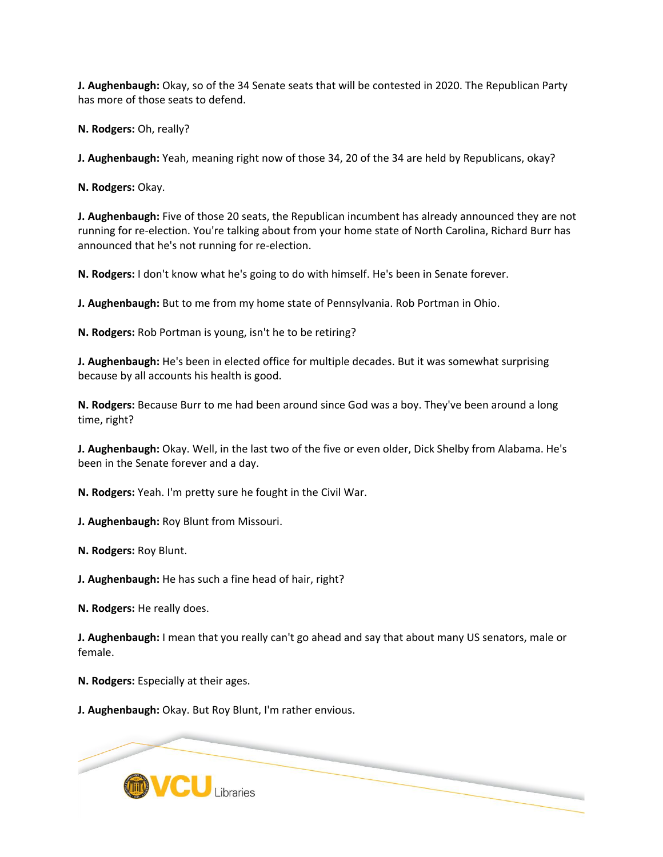**J. Aughenbaugh:** Okay, so of the 34 Senate seats that will be contested in 2020. The Republican Party has more of those seats to defend.

**N. Rodgers:** Oh, really?

**J. Aughenbaugh:** Yeah, meaning right now of those 34, 20 of the 34 are held by Republicans, okay?

**N. Rodgers:** Okay.

**J. Aughenbaugh:** Five of those 20 seats, the Republican incumbent has already announced they are not running for re-election. You're talking about from your home state of North Carolina, Richard Burr has announced that he's not running for re-election.

**N. Rodgers:** I don't know what he's going to do with himself. He's been in Senate forever.

**J. Aughenbaugh:** But to me from my home state of Pennsylvania. Rob Portman in Ohio.

**N. Rodgers:** Rob Portman is young, isn't he to be retiring?

**J. Aughenbaugh:** He's been in elected office for multiple decades. But it was somewhat surprising because by all accounts his health is good.

**N. Rodgers:** Because Burr to me had been around since God was a boy. They've been around a long time, right?

**J. Aughenbaugh:** Okay. Well, in the last two of the five or even older, Dick Shelby from Alabama. He's been in the Senate forever and a day.

**N. Rodgers:** Yeah. I'm pretty sure he fought in the Civil War.

**J. Aughenbaugh:** Roy Blunt from Missouri.

**N. Rodgers:** Roy Blunt.

**J. Aughenbaugh:** He has such a fine head of hair, right?

**N. Rodgers:** He really does.

**J. Aughenbaugh:** I mean that you really can't go ahead and say that about many US senators, male or female.

**N. Rodgers:** Especially at their ages.

**J. Aughenbaugh:** Okay. But Roy Blunt, I'm rather envious.

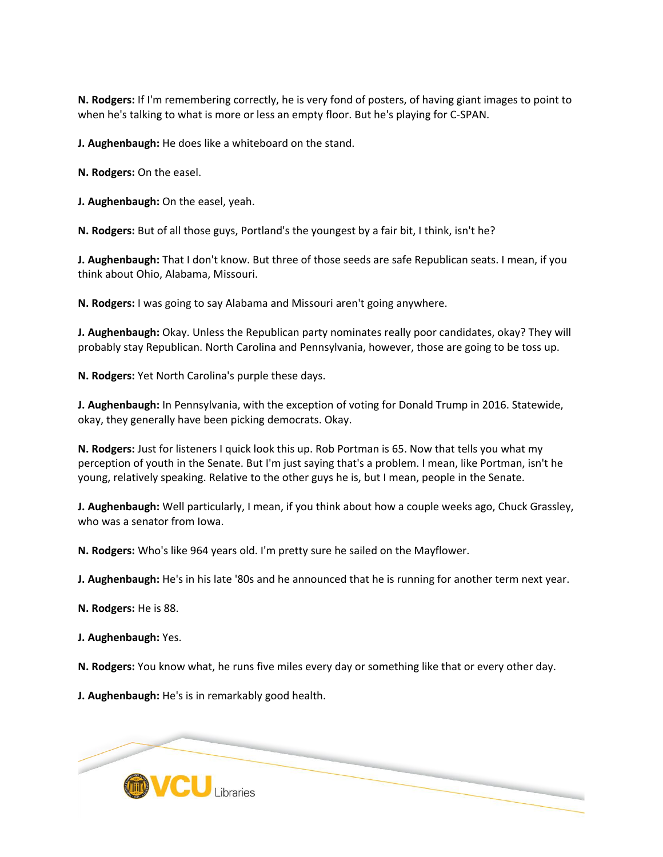**N. Rodgers:** If I'm remembering correctly, he is very fond of posters, of having giant images to point to when he's talking to what is more or less an empty floor. But he's playing for C-SPAN.

**J. Aughenbaugh:** He does like a whiteboard on the stand.

**N. Rodgers:** On the easel.

**J. Aughenbaugh:** On the easel, yeah.

**N. Rodgers:** But of all those guys, Portland's the youngest by a fair bit, I think, isn't he?

**J. Aughenbaugh:** That I don't know. But three of those seeds are safe Republican seats. I mean, if you think about Ohio, Alabama, Missouri.

**N. Rodgers:** I was going to say Alabama and Missouri aren't going anywhere.

**J. Aughenbaugh:** Okay. Unless the Republican party nominates really poor candidates, okay? They will probably stay Republican. North Carolina and Pennsylvania, however, those are going to be toss up.

**N. Rodgers:** Yet North Carolina's purple these days.

**J. Aughenbaugh:** In Pennsylvania, with the exception of voting for Donald Trump in 2016. Statewide, okay, they generally have been picking democrats. Okay.

**N. Rodgers:** Just for listeners I quick look this up. Rob Portman is 65. Now that tells you what my perception of youth in the Senate. But I'm just saying that's a problem. I mean, like Portman, isn't he young, relatively speaking. Relative to the other guys he is, but I mean, people in the Senate.

**J. Aughenbaugh:** Well particularly, I mean, if you think about how a couple weeks ago, Chuck Grassley, who was a senator from Iowa.

**N. Rodgers:** Who's like 964 years old. I'm pretty sure he sailed on the Mayflower.

**J. Aughenbaugh:** He's in his late '80s and he announced that he is running for another term next year.

**N. Rodgers:** He is 88.

**J. Aughenbaugh:** Yes.

**N. Rodgers:** You know what, he runs five miles every day or something like that or every other day.

**J. Aughenbaugh:** He's is in remarkably good health.

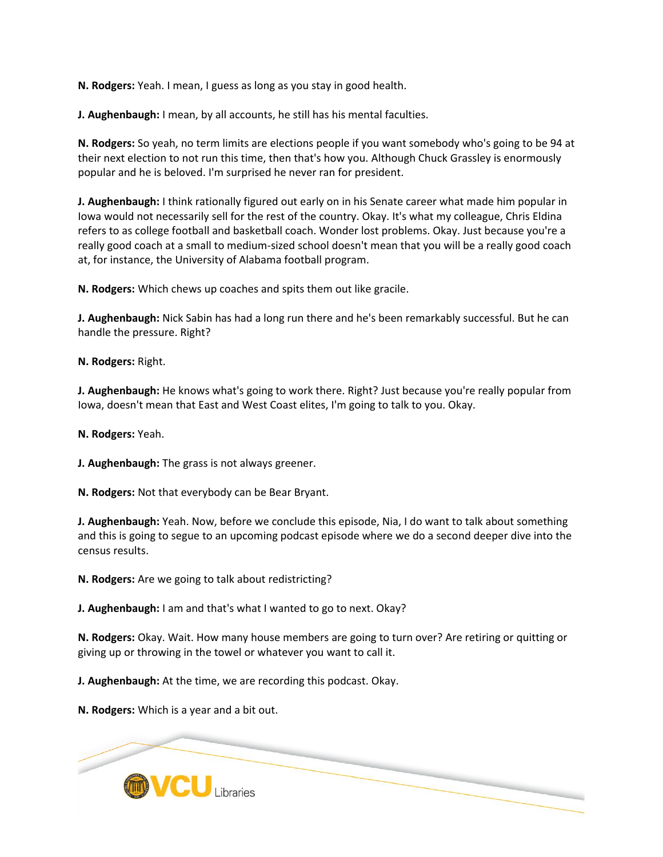**N. Rodgers:** Yeah. I mean, I guess as long as you stay in good health.

**J. Aughenbaugh:** I mean, by all accounts, he still has his mental faculties.

**N. Rodgers:** So yeah, no term limits are elections people if you want somebody who's going to be 94 at their next election to not run this time, then that's how you. Although Chuck Grassley is enormously popular and he is beloved. I'm surprised he never ran for president.

**J. Aughenbaugh:** I think rationally figured out early on in his Senate career what made him popular in Iowa would not necessarily sell for the rest of the country. Okay. It's what my colleague, Chris Eldina refers to as college football and basketball coach. Wonder lost problems. Okay. Just because you're a really good coach at a small to medium-sized school doesn't mean that you will be a really good coach at, for instance, the University of Alabama football program.

**N. Rodgers:** Which chews up coaches and spits them out like gracile.

**J. Aughenbaugh:** Nick Sabin has had a long run there and he's been remarkably successful. But he can handle the pressure. Right?

**N. Rodgers:** Right.

**J. Aughenbaugh:** He knows what's going to work there. Right? Just because you're really popular from Iowa, doesn't mean that East and West Coast elites, I'm going to talk to you. Okay.

**N. Rodgers:** Yeah.

**J. Aughenbaugh:** The grass is not always greener.

**N. Rodgers:** Not that everybody can be Bear Bryant.

**J. Aughenbaugh:** Yeah. Now, before we conclude this episode, Nia, I do want to talk about something and this is going to segue to an upcoming podcast episode where we do a second deeper dive into the census results.

**N. Rodgers:** Are we going to talk about redistricting?

**J. Aughenbaugh:** I am and that's what I wanted to go to next. Okay?

**N. Rodgers:** Okay. Wait. How many house members are going to turn over? Are retiring or quitting or giving up or throwing in the towel or whatever you want to call it.

**J. Aughenbaugh:** At the time, we are recording this podcast. Okay.

**N. Rodgers:** Which is a year and a bit out.

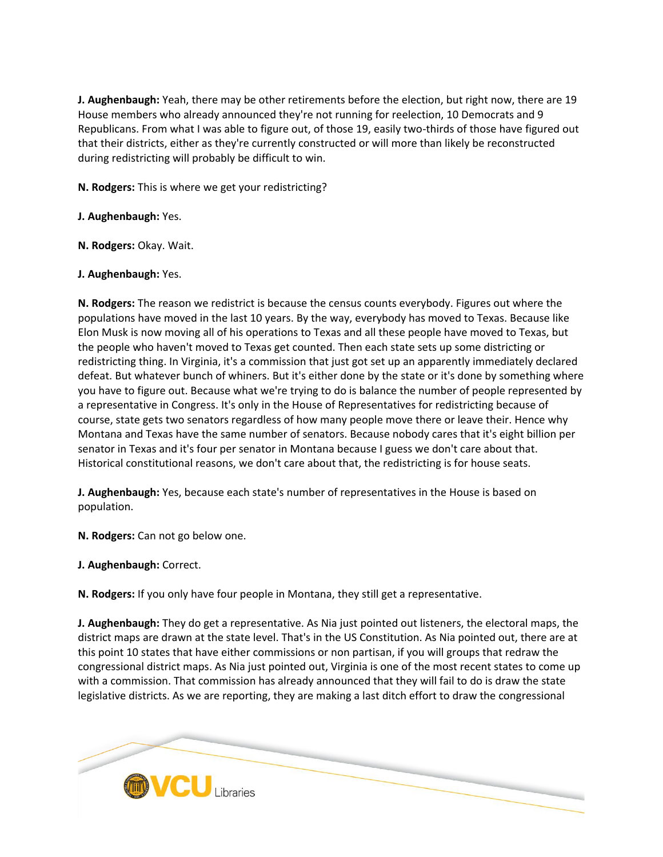**J. Aughenbaugh:** Yeah, there may be other retirements before the election, but right now, there are 19 House members who already announced they're not running for reelection, 10 Democrats and 9 Republicans. From what I was able to figure out, of those 19, easily two-thirds of those have figured out that their districts, either as they're currently constructed or will more than likely be reconstructed during redistricting will probably be difficult to win.

**N. Rodgers:** This is where we get your redistricting?

**J. Aughenbaugh:** Yes.

**N. Rodgers:** Okay. Wait.

### **J. Aughenbaugh:** Yes.

**N. Rodgers:** The reason we redistrict is because the census counts everybody. Figures out where the populations have moved in the last 10 years. By the way, everybody has moved to Texas. Because like Elon Musk is now moving all of his operations to Texas and all these people have moved to Texas, but the people who haven't moved to Texas get counted. Then each state sets up some districting or redistricting thing. In Virginia, it's a commission that just got set up an apparently immediately declared defeat. But whatever bunch of whiners. But it's either done by the state or it's done by something where you have to figure out. Because what we're trying to do is balance the number of people represented by a representative in Congress. It's only in the House of Representatives for redistricting because of course, state gets two senators regardless of how many people move there or leave their. Hence why Montana and Texas have the same number of senators. Because nobody cares that it's eight billion per senator in Texas and it's four per senator in Montana because I guess we don't care about that. Historical constitutional reasons, we don't care about that, the redistricting is for house seats.

**J. Aughenbaugh:** Yes, because each state's number of representatives in the House is based on population.

**N. Rodgers:** Can not go below one.

**J. Aughenbaugh:** Correct.

**N. Rodgers:** If you only have four people in Montana, they still get a representative.

**J. Aughenbaugh:** They do get a representative. As Nia just pointed out listeners, the electoral maps, the district maps are drawn at the state level. That's in the US Constitution. As Nia pointed out, there are at this point 10 states that have either commissions or non partisan, if you will groups that redraw the congressional district maps. As Nia just pointed out, Virginia is one of the most recent states to come up with a commission. That commission has already announced that they will fail to do is draw the state legislative districts. As we are reporting, they are making a last ditch effort to draw the congressional

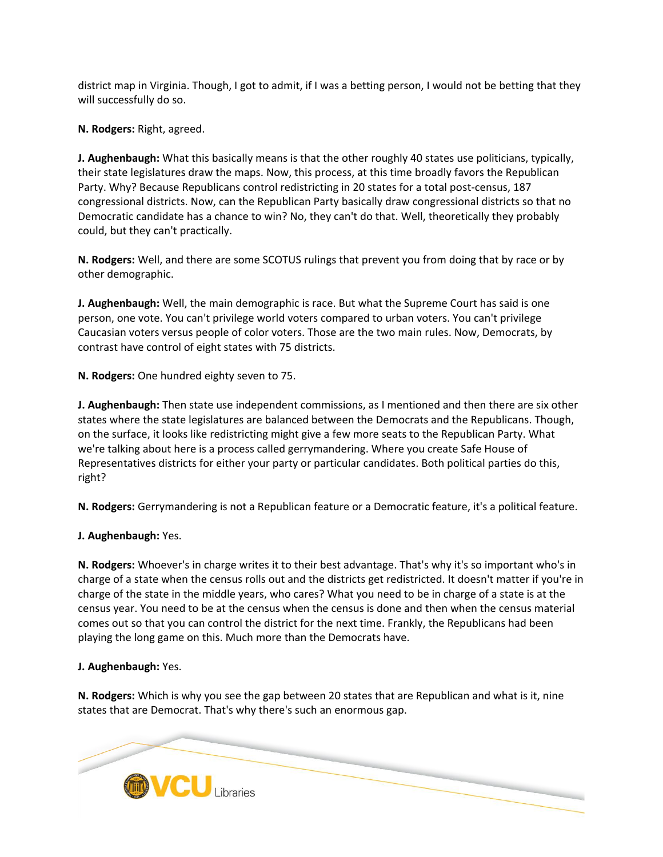district map in Virginia. Though, I got to admit, if I was a betting person, I would not be betting that they will successfully do so.

**N. Rodgers:** Right, agreed.

**J. Aughenbaugh:** What this basically means is that the other roughly 40 states use politicians, typically, their state legislatures draw the maps. Now, this process, at this time broadly favors the Republican Party. Why? Because Republicans control redistricting in 20 states for a total post-census, 187 congressional districts. Now, can the Republican Party basically draw congressional districts so that no Democratic candidate has a chance to win? No, they can't do that. Well, theoretically they probably could, but they can't practically.

**N. Rodgers:** Well, and there are some SCOTUS rulings that prevent you from doing that by race or by other demographic.

**J. Aughenbaugh:** Well, the main demographic is race. But what the Supreme Court has said is one person, one vote. You can't privilege world voters compared to urban voters. You can't privilege Caucasian voters versus people of color voters. Those are the two main rules. Now, Democrats, by contrast have control of eight states with 75 districts.

**N. Rodgers:** One hundred eighty seven to 75.

**J. Aughenbaugh:** Then state use independent commissions, as I mentioned and then there are six other states where the state legislatures are balanced between the Democrats and the Republicans. Though, on the surface, it looks like redistricting might give a few more seats to the Republican Party. What we're talking about here is a process called gerrymandering. Where you create Safe House of Representatives districts for either your party or particular candidates. Both political parties do this, right?

**N. Rodgers:** Gerrymandering is not a Republican feature or a Democratic feature, it's a political feature.

**J. Aughenbaugh:** Yes.

**N. Rodgers:** Whoever's in charge writes it to their best advantage. That's why it's so important who's in charge of a state when the census rolls out and the districts get redistricted. It doesn't matter if you're in charge of the state in the middle years, who cares? What you need to be in charge of a state is at the census year. You need to be at the census when the census is done and then when the census material comes out so that you can control the district for the next time. Frankly, the Republicans had been playing the long game on this. Much more than the Democrats have.

# **J. Aughenbaugh:** Yes.

**N. Rodgers:** Which is why you see the gap between 20 states that are Republican and what is it, nine states that are Democrat. That's why there's such an enormous gap.

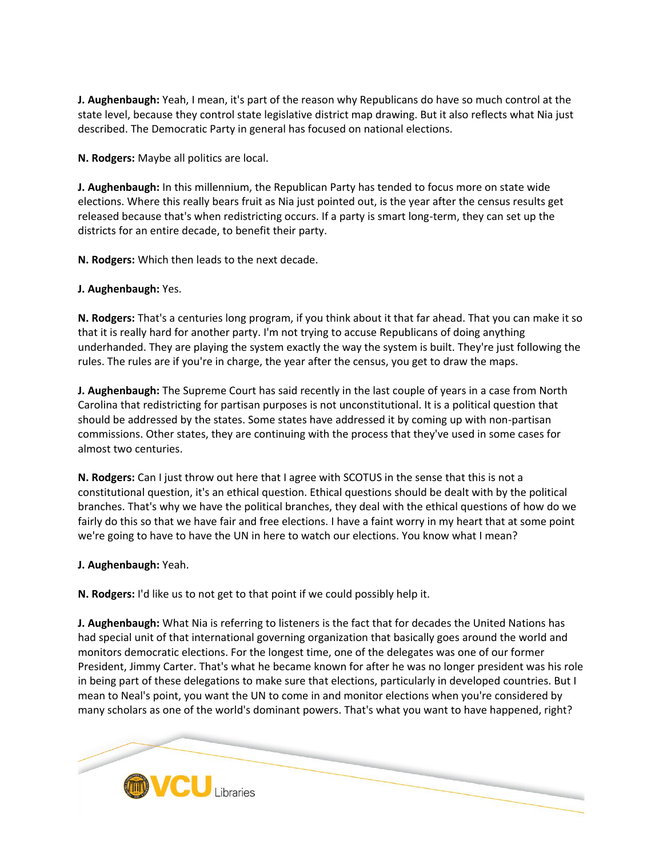**J. Aughenbaugh:** Yeah, I mean, it's part of the reason why Republicans do have so much control at the state level, because they control state legislative district map drawing. But it also reflects what Nia just described. The Democratic Party in general has focused on national elections.

**N. Rodgers:** Maybe all politics are local.

**J. Aughenbaugh:** In this millennium, the Republican Party has tended to focus more on state wide elections. Where this really bears fruit as Nia just pointed out, is the year after the census results get released because that's when redistricting occurs. If a party is smart long-term, they can set up the districts for an entire decade, to benefit their party.

**N. Rodgers:** Which then leads to the next decade.

**J. Aughenbaugh:** Yes.

**N. Rodgers:** That's a centuries long program, if you think about it that far ahead. That you can make it so that it is really hard for another party. I'm not trying to accuse Republicans of doing anything underhanded. They are playing the system exactly the way the system is built. They're just following the rules. The rules are if you're in charge, the year after the census, you get to draw the maps.

**J. Aughenbaugh:** The Supreme Court has said recently in the last couple of years in a case from North Carolina that redistricting for partisan purposes is not unconstitutional. It is a political question that should be addressed by the states. Some states have addressed it by coming up with non-partisan commissions. Other states, they are continuing with the process that they've used in some cases for almost two centuries.

**N. Rodgers:** Can I just throw out here that I agree with SCOTUS in the sense that this is not a constitutional question, it's an ethical question. Ethical questions should be dealt with by the political branches. That's why we have the political branches, they deal with the ethical questions of how do we fairly do this so that we have fair and free elections. I have a faint worry in my heart that at some point we're going to have to have the UN in here to watch our elections. You know what I mean?

**J. Aughenbaugh:** Yeah.

**N. Rodgers:** I'd like us to not get to that point if we could possibly help it.

**J. Aughenbaugh:** What Nia is referring to listeners is the fact that for decades the United Nations has had special unit of that international governing organization that basically goes around the world and monitors democratic elections. For the longest time, one of the delegates was one of our former President, Jimmy Carter. That's what he became known for after he was no longer president was his role in being part of these delegations to make sure that elections, particularly in developed countries. But I mean to Neal's point, you want the UN to come in and monitor elections when you're considered by many scholars as one of the world's dominant powers. That's what you want to have happened, right?

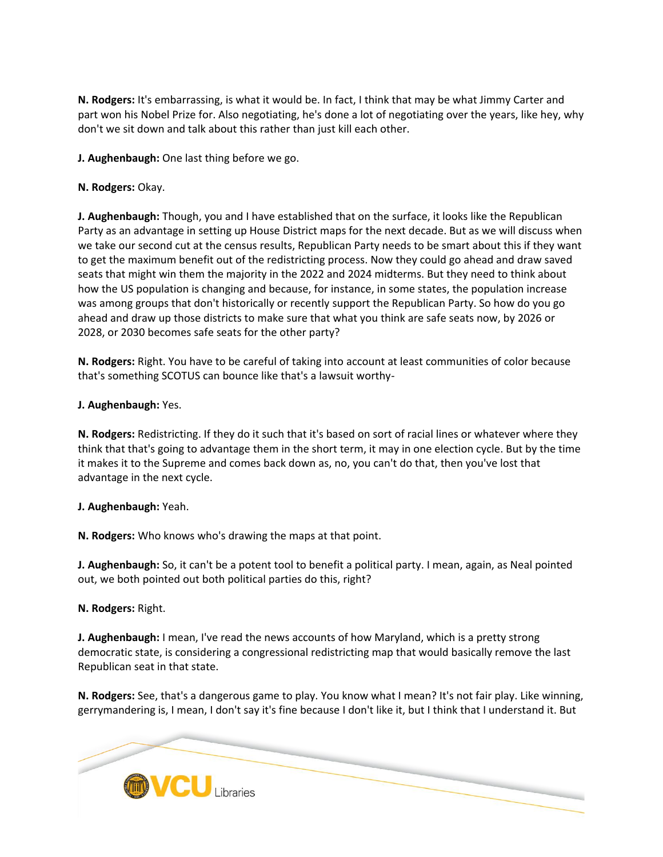**N. Rodgers:** It's embarrassing, is what it would be. In fact, I think that may be what Jimmy Carter and part won his Nobel Prize for. Also negotiating, he's done a lot of negotiating over the years, like hey, why don't we sit down and talk about this rather than just kill each other.

**J. Aughenbaugh:** One last thing before we go.

# **N. Rodgers:** Okay.

**J. Aughenbaugh:** Though, you and I have established that on the surface, it looks like the Republican Party as an advantage in setting up House District maps for the next decade. But as we will discuss when we take our second cut at the census results, Republican Party needs to be smart about this if they want to get the maximum benefit out of the redistricting process. Now they could go ahead and draw saved seats that might win them the majority in the 2022 and 2024 midterms. But they need to think about how the US population is changing and because, for instance, in some states, the population increase was among groups that don't historically or recently support the Republican Party. So how do you go ahead and draw up those districts to make sure that what you think are safe seats now, by 2026 or 2028, or 2030 becomes safe seats for the other party?

**N. Rodgers:** Right. You have to be careful of taking into account at least communities of color because that's something SCOTUS can bounce like that's a lawsuit worthy-

# **J. Aughenbaugh:** Yes.

**N. Rodgers:** Redistricting. If they do it such that it's based on sort of racial lines or whatever where they think that that's going to advantage them in the short term, it may in one election cycle. But by the time it makes it to the Supreme and comes back down as, no, you can't do that, then you've lost that advantage in the next cycle.

# **J. Aughenbaugh:** Yeah.

**N. Rodgers:** Who knows who's drawing the maps at that point.

**J. Aughenbaugh:** So, it can't be a potent tool to benefit a political party. I mean, again, as Neal pointed out, we both pointed out both political parties do this, right?

# **N. Rodgers:** Right.

**J. Aughenbaugh:** I mean, I've read the news accounts of how Maryland, which is a pretty strong democratic state, is considering a congressional redistricting map that would basically remove the last Republican seat in that state.

**N. Rodgers:** See, that's a dangerous game to play. You know what I mean? It's not fair play. Like winning, gerrymandering is, I mean, I don't say it's fine because I don't like it, but I think that I understand it. But

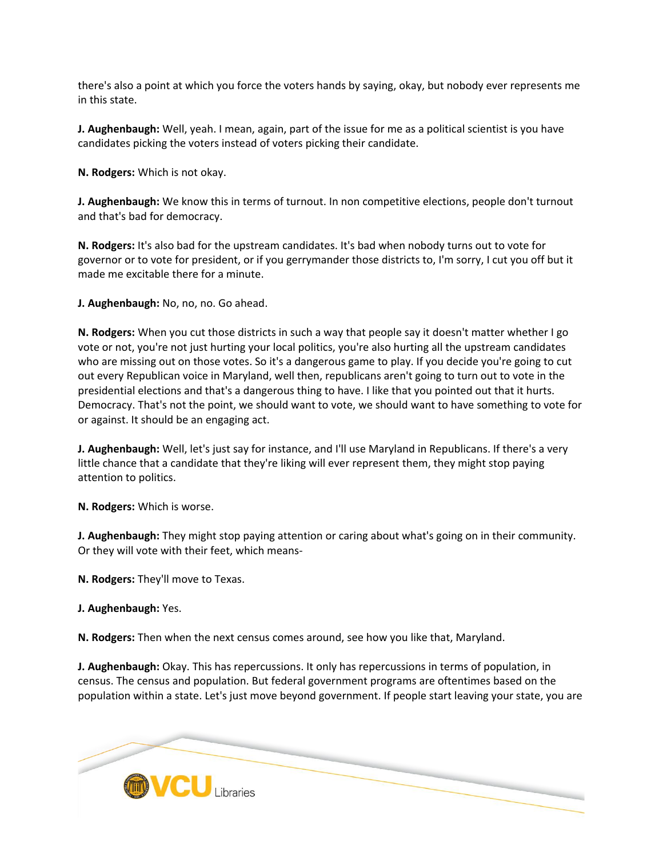there's also a point at which you force the voters hands by saying, okay, but nobody ever represents me in this state.

**J. Aughenbaugh:** Well, yeah. I mean, again, part of the issue for me as a political scientist is you have candidates picking the voters instead of voters picking their candidate.

**N. Rodgers:** Which is not okay.

**J. Aughenbaugh:** We know this in terms of turnout. In non competitive elections, people don't turnout and that's bad for democracy.

**N. Rodgers:** It's also bad for the upstream candidates. It's bad when nobody turns out to vote for governor or to vote for president, or if you gerrymander those districts to, I'm sorry, I cut you off but it made me excitable there for a minute.

**J. Aughenbaugh:** No, no, no. Go ahead.

**N. Rodgers:** When you cut those districts in such a way that people say it doesn't matter whether I go vote or not, you're not just hurting your local politics, you're also hurting all the upstream candidates who are missing out on those votes. So it's a dangerous game to play. If you decide you're going to cut out every Republican voice in Maryland, well then, republicans aren't going to turn out to vote in the presidential elections and that's a dangerous thing to have. I like that you pointed out that it hurts. Democracy. That's not the point, we should want to vote, we should want to have something to vote for or against. It should be an engaging act.

**J. Aughenbaugh:** Well, let's just say for instance, and I'll use Maryland in Republicans. If there's a very little chance that a candidate that they're liking will ever represent them, they might stop paying attention to politics.

**N. Rodgers:** Which is worse.

**J. Aughenbaugh:** They might stop paying attention or caring about what's going on in their community. Or they will vote with their feet, which means-

**N. Rodgers:** They'll move to Texas.

**J. Aughenbaugh:** Yes.

**N. Rodgers:** Then when the next census comes around, see how you like that, Maryland.

**J. Aughenbaugh:** Okay. This has repercussions. It only has repercussions in terms of population, in census. The census and population. But federal government programs are oftentimes based on the population within a state. Let's just move beyond government. If people start leaving your state, you are

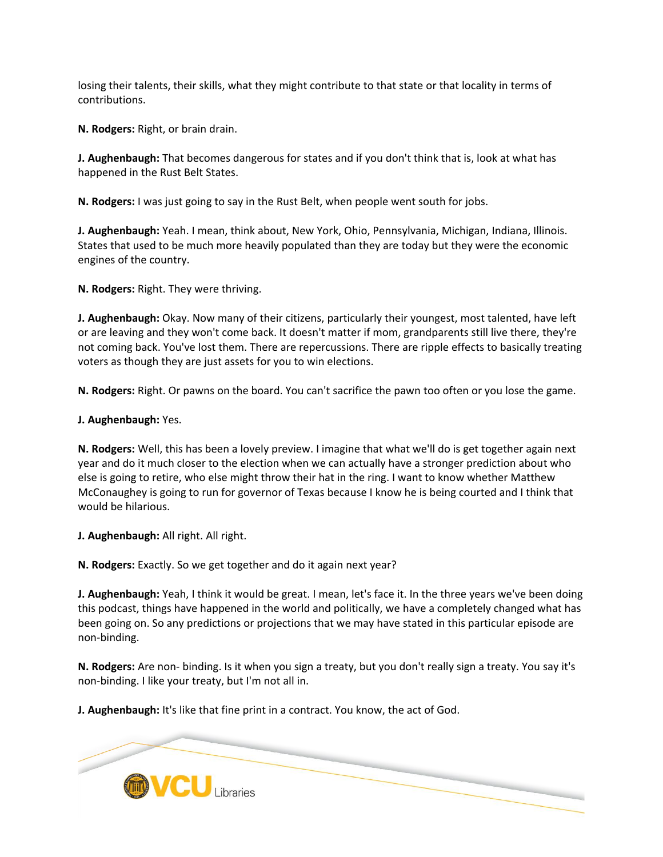losing their talents, their skills, what they might contribute to that state or that locality in terms of contributions.

**N. Rodgers:** Right, or brain drain.

**J. Aughenbaugh:** That becomes dangerous for states and if you don't think that is, look at what has happened in the Rust Belt States.

**N. Rodgers:** I was just going to say in the Rust Belt, when people went south for jobs.

**J. Aughenbaugh:** Yeah. I mean, think about, New York, Ohio, Pennsylvania, Michigan, Indiana, Illinois. States that used to be much more heavily populated than they are today but they were the economic engines of the country.

**N. Rodgers:** Right. They were thriving.

**J. Aughenbaugh:** Okay. Now many of their citizens, particularly their youngest, most talented, have left or are leaving and they won't come back. It doesn't matter if mom, grandparents still live there, they're not coming back. You've lost them. There are repercussions. There are ripple effects to basically treating voters as though they are just assets for you to win elections.

**N. Rodgers:** Right. Or pawns on the board. You can't sacrifice the pawn too often or you lose the game.

**J. Aughenbaugh:** Yes.

**N. Rodgers:** Well, this has been a lovely preview. I imagine that what we'll do is get together again next year and do it much closer to the election when we can actually have a stronger prediction about who else is going to retire, who else might throw their hat in the ring. I want to know whether Matthew McConaughey is going to run for governor of Texas because I know he is being courted and I think that would be hilarious.

**J. Aughenbaugh:** All right. All right.

**N. Rodgers:** Exactly. So we get together and do it again next year?

**J. Aughenbaugh:** Yeah, I think it would be great. I mean, let's face it. In the three years we've been doing this podcast, things have happened in the world and politically, we have a completely changed what has been going on. So any predictions or projections that we may have stated in this particular episode are non-binding.

**N. Rodgers:** Are non- binding. Is it when you sign a treaty, but you don't really sign a treaty. You say it's non-binding. I like your treaty, but I'm not all in.

**J. Aughenbaugh:** It's like that fine print in a contract. You know, the act of God.